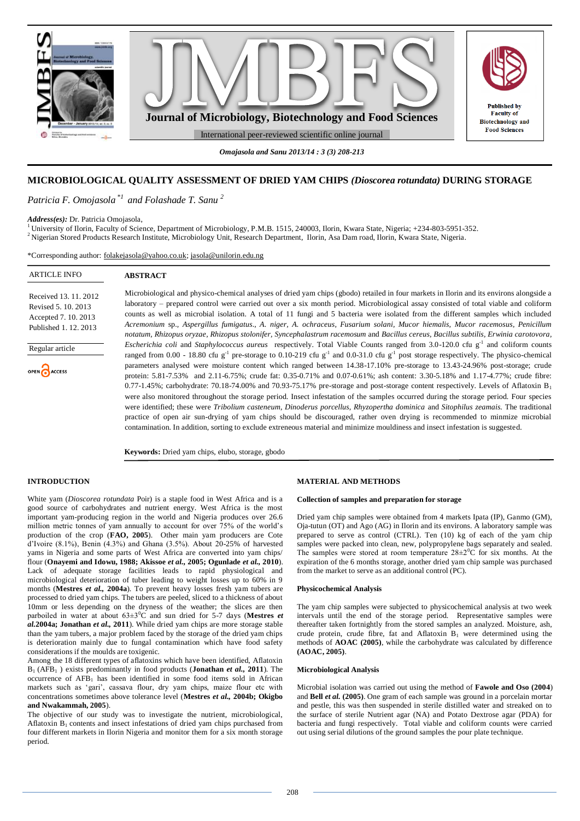

# **MICROBIOLOGICAL QUALITY ASSESSMENT OF DRIED YAM CHIPS** *(Dioscorea rotundata)* **DURING STORAGE**

*Patricia F. Omojasola \*1 and Folashade T. Sanu <sup>2</sup>*

#### *Address(es):* Dr. Patricia Omojasola,

<sup>1</sup> University of Ilorin, Faculty of Science, Department of Microbiology, P.M.B. 1515, 240003, Ilorin, Kwara State, Nigeria; +234-803-5951-352. <sup>2</sup> Nigerian Stored Products Research Institute, Microbiology Unit, Research Department, Ilorin, Asa Dam road, Ilorin, Kwara State, Nigeria.

\*Corresponding author: [folakejasola@yahoo.co.uk;](mailto:folakejasola@yahoo.co.uk) [jasola@unilorin.edu.ng](mailto:jasola@unilorin.edu.ng)

| <b>ARTICLE INFO</b>                                                                         | <b>ABSTRACT</b>                                                                                                                                                                                                                                                                                                                                                                                                                                                                                                                                                                                                                                                                                                                         |
|---------------------------------------------------------------------------------------------|-----------------------------------------------------------------------------------------------------------------------------------------------------------------------------------------------------------------------------------------------------------------------------------------------------------------------------------------------------------------------------------------------------------------------------------------------------------------------------------------------------------------------------------------------------------------------------------------------------------------------------------------------------------------------------------------------------------------------------------------|
| Received 13, 11, 2012<br>Revised 5, 10, 2013<br>Accepted 7.10.2013<br>Published 1, 12, 2013 | Microbiological and physico-chemical analyses of dried yam chips (gbodo) retailed in four markets in Ilorin and its environs alongside a<br>laboratory – prepared control were carried out over a six month period. Microbiological assay consisted of total viable and coliform<br>counts as well as microbial isolation. A total of 11 fungi and 5 bacteria were isolated from the different samples which included<br>Acremonium sp., Aspergillus fumigatus., A. niger, A. ochraceus, Fusarium solani, Mucor hiemalis, Mucor racemosus, Penicillum                                                                                                                                                                                   |
| Regular article<br>OPEN CACCESS                                                             | notatum, Rhizopus oryzae, Rhizopus stolonifer, Syncephalastrum racemosum and Bacillus cereus, Bacillus subtilis, Erwinia carotovora,<br><i>Escherichia coli</i> and <i>Staphylococcus aureus</i> respectively. Total Viable Counts ranged from 3.0-120.0 cfu $g^{-1}$ and coliform counts<br>ranged from 0.00 - 18.80 cfu g <sup>-1</sup> pre-storage to 0.10-219 cfu g <sup>-1</sup> and 0.0-31.0 cfu g <sup>-1</sup> post storage respectively. The physico-chemical<br>parameters analysed were moisture content which ranged between 14.38-17.10% pre-storage to 13.43-24.96% post-storage; crude<br>protein: 5.81-7.53% and 2.11-6.75%; crude fat: 0.35-0.71% and 0.07-0.61%; ash content: 3.30-5.18% and 1.17-4.77%; crude fibre: |
|                                                                                             | 0.77-1.45%; carbohydrate: 70.18-74.00% and 70.93-75.17% pre-storage and post-storage content respectively. Levels of Aflatoxin $B_1$<br>were also monitored throughout the storage period. Insect infestation of the samples occurred during the storage period. Four species<br>were identified; these were Tribolium casteneum, Dinoderus porcellus, Rhyzopertha dominica and Sitophilus zeamais. The traditional<br>practice of open air sun-drying of yam chips should be discouraged, rather oven drying is recommended to minmize microbial<br>contamination. In addition, sorting to exclude extreneous material and minimize mouldiness and insect infestation is suggested.                                                    |

**Keywords:** Dried yam chips, elubo, storage, gbodo

### **INTRODUCTION**

White yam (*Dioscorea rotundata* Poir) is a staple food in West Africa and is a good source of carbohydrates and nutrient energy. West Africa is the most important yam-producing region in the world and Nigeria produces over 26.6 million metric tonnes of yam annually to account for over 75% of the world's production of the crop (**FAO, 2005**). Other main yam producers are Cote d'Ivoire (8.1%), Benin (4.3%) and Ghana (3.5%). About 20-25% of harvested yams in Nigeria and some parts of West Africa are converted into yam chips/ flour (**Onayemi and Idowu, 1988; Akissoe** *et al.,* **2005; Ogunlade** *et al.,* **2010**). Lack of adequate storage facilities leads to rapid physiological and microbiological deterioration of tuber leading to weight losses up to 60% in 9 months (**Mestres** *et al.,* **2004a**). To prevent heavy losses fresh yam tubers are processed to dried yam chips. The tubers are peeled, sliced to a thickness of about 10mm or less depending on the dryness of the weather; the slices are then parboiled in water at about  $63\pm3\degree C$  and sun dried for 5-7 days (Mestres *et al.***2004a; Jonathan** *et al.,* **2011**). While dried yam chips are more storage stable than the yam tubers, a major problem faced by the storage of the dried yam chips is deterioration mainly due to fungal contamination which have food safety considerations if the moulds are toxigenic.

Among the 18 different types of aflatoxins which have been identified, Aflatoxin B1 (AFB<sup>1</sup> ) exists predominantly in food products (**Jonathan** *et al.,* **2011**). The occurrence of  $AFB<sub>1</sub>$  has been identified in some food items sold in African markets such as 'gari', cassava flour, dry yam chips, maize flour etc with concentrations sometimes above tolerance level (**Mestres** *et al.,* **2004b; Okigbo and Nwakammah, 2005**).

The objective of our study was to investigate the nutrient, microbiological, Aflatoxin  $B_1$  contents and insect infestations of dried yam chips purchased from four different markets in Ilorin Nigeria and monitor them for a six month storage period.

#### **MATERIAL AND METHODS**

#### **Collection of samples and preparation for storage**

Dried yam chip samples were obtained from 4 markets Ipata (IP), Ganmo (GM), Oja-tutun (OT) and Ago (AG) in Ilorin and its environs. A laboratory sample was prepared to serve as control (CTRL). Ten (10) kg of each of the yam chip samples were packed into clean, new, polypropylene bags separately and sealed. The samples were stored at room temperature  $28\pm2\degree C$  for six months. At the expiration of the 6 months storage, another dried yam chip sample was purchased from the market to serve as an additional control (PC).

#### **Physicochemical Analysis**

The yam chip samples were subjected to physicochemical analysis at two week intervals until the end of the storage period. Representative samples were thereafter taken fortnightly from the stored samples an analyzed. Moisture, ash, crude protein, crude fibre, fat and Aflatoxin B<sub>1</sub> were determined using the methods of **AOAC (2005)**, while the carbohydrate was calculated by difference **(AOAC, 2005)**.

#### **Microbiological Analysis**

Microbial isolation was carried out using the method of **Fawole and Oso (2004**) and **Bell** *et al.* **(2005)**. One gram of each sample was ground in a porcelain mortar and pestle, this was then suspended in sterile distilled water and streaked on to the surface of sterile Nutrient agar (NA) and Potato Dextrose agar (PDA) for bacteria and fungi respectively. Total viable and coliform counts were carried out using serial dilutions of the ground samples the pour plate technique.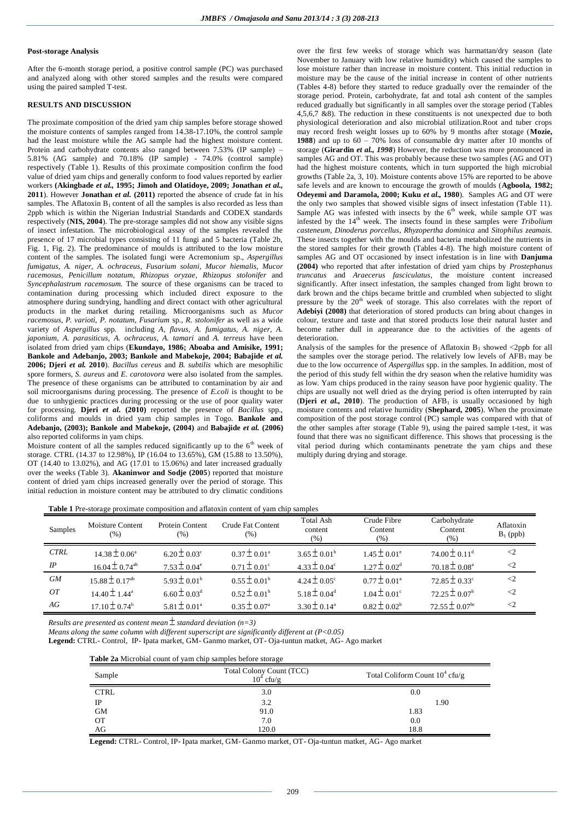### **Post-storage Analysis**

After the 6-month storage period, a positive control sample (PC) was purchased and analyzed along with other stored samples and the results were compared using the paired sampled T-test.

# **RESULTS AND DISCUSSION**

The proximate composition of the dried yam chip samples before storage showed the moisture contents of samples ranged from 14.38-17.10%, the control sample had the least moisture while the AG sample had the highest moisture content. Protein and carbohydrate contents also ranged between 7.53% (IP sample) – 5.81% (AG sample) and 70.18% (IP sample) - 74.0% (control sample) respectively (Table 1). Results of this proximate composition confirm the food value of dried yam chips and generally conform to food values reported by earlier workers **(Akingbade** *et al.,* **1995; Jimoh and Olatidoye, 2009; Jonathan** *et al.,*  **2011**). However **Jonathan** *et al.* **(2011)** reported the absence of crude fat in his samples. The Aflatoxin  $B_1$  content of all the samples is also recorded as less than 2ppb which is within the Nigerian Industrial Standards and CODEX standards respectively (**NIS, 2004**). The pre-storage samples did not show any visible signs of insect infestation. The microbiological assay of the samples revealed the presence of 17 microbial types consisting of 11 fungi and 5 bacteria (Table 2b, Fig. 1, Fig. 2). The predominance of moulds is attributed to the low moisture content of the samples. The isolated fungi were Acremonium sp.*, Aspergillus fumigatus, A. niger, A. ochraceus, Fusarium solani, Mucor hiemalis, Mucor racemosus, Penicillum notatum, Rhizopus oryzae, Rhizopus stolonifer* and *Syncephalastrum racemosum.* The source of these organisms can be traced to contamination during processing which included direct exposure to the atmosphere during sundrying, handling and direct contact with other agricultural products in the market during retailing. Microorganisms such as *Mucor racemosus, P. varioti, P. notatum, Fusarium* sp., *R. stolonifer* as well as a wide variety of *Aspergillus* spp. including *A, flavus, A. fumigatus, A. niger, A. japonium, A. parasiticus, A. ochraceus, A. tamari* and *A. terreus* have been isolated from dried yam chips (**Ekundayo, 1986; Aboaba and Amisike, 1991; Bankole and Adebanjo, 2003; Bankole and Mabekoje, 2004; Babajide** *et al.*  **2006; Djeri** *et al.* **2010**). *Bacillus cereus* and *B. subtilis* which are mesophilic spore formers, *S. aureus* and *E. carotovora* were also isolated from the samples. The presence of these organisms can be attributed to contamination by air and soil microorganisms during processing. The presence of *E.coli* is thought to be due to unhygienic practices during processing or the use of poor quality water for processing. **Djeri** *et al.* **(2010)** reported the presence of *Bacillus* spp., coliforms and moulds in dried yam chip samples in Togo. **Bankole and Adebanjo, (2003); Bankole and Mabekoje, (2004)** and **Babajide** *et al.* **(2006)** also reported coliforms in yam chips.

Moisture content of all the samples reduced significantly up to the  $6<sup>th</sup>$  week of storage. CTRL (14.37 to 12.98%), IP (16.04 to 13.65%), GM (15.88 to 13.50%), OT (14.40 to 13.02%), and AG (17.01 to 15.06%) and later increased gradually over the weeks (Table 3). **Akaninwor and Sodje (2005**) reported that moisture content of dried yam chips increased generally over the period of storage. This initial reduction in moisture content may be attributed to dry climatic conditions over the first few weeks of storage which was harmattan/dry season (late November to January with low relative humidity) which caused the samples to lose moisture rather than increase in moisture content. This initial reduction in moisture may be the cause of the initial increase in content of other nutrients (Tables 4-8) before they started to reduce gradually over the remainder of the storage period. Protein, carbohydrate, fat and total ash content of the samples reduced gradually but significantly in all samples over the storage period (Tables 4,5,6,7 &8). The reduction in these constituents is not unexpected due to both physiological deterioration and also microbial utilization.Root and tuber crops may record fresh weight losses up to 60% by 9 months after stotage (**Mozie, 1988**) and up to 60 – 70% loss of consumable dry matter after 10 months of storage (**Girardin** *et al., 1998*) However, the reduction was more pronounced in samples AG and OT. This was probably because these two samples (AG and OT) had the highest moisture contents, which in turn supported the high microbial growths (Table 2a, 3, 10). Moisture contents above 15% are reported to be above safe levels and are known to encourage the growth of moulds (**Agboola, 1982; Odeyemi and Daramola, 2000; Kuku** *et al.,* **1980**). Samples AG and OT were the only two samples that showed visible signs of insect infestation (Table 11). Sample AG was infested with insects by the  $6<sup>th</sup>$  week, while sample OT was infested by the 14<sup>th</sup> week. The insects found in these samples were *Tribolium casteneum, Dinoderus porcellus, Rhyzopertha dominica* and *Sitophilus zeamais.* These insects together with the moulds and bacteria metabolized the nutrients in the stored samples for their growth (Tables 4-8). The high moisture content of samples AG and OT occasioned by insect infestation is in line with **Danjuma (2004)** who reported that after infestation of dried yam chips by *Prostephanus truncatus* and *Araecerus fasciculatus*, the moisture content increased significantly. After insect infestation, the samples changed from light brown to dark brown and the chips became brittle and crumbled when subjected to slight pressure by the 20<sup>th</sup> week of storage. This also correlates with the report of **Adebiyi (2008)** that deterioration of stored products can bring about changes in colour, texture and taste and that stored products lose their natural luster and become rather dull in appearance due to the activities of the agents of deterioration.

Analysis of the samples for the presence of Aflatoxin  $B_1$  showed <2ppb for all the samples over the storage period. The relatively low levels of  $\overrightarrow{AFB_1}$  may be due to the low occurrence of *Aspergillus* spp. in the samples. In addition, most of the period of this study fell within the dry season when the relative humidity was as low. Yam chips produced in the rainy season have poor hygienic quality. The chips are usually not well dried as the drying period is often interrupted by rain (Djeri et al., 2010). The production of AFB<sub>1</sub> is usually occasioned by high moisture contents and relative humidity (**Shephard, 2005**). When the proximate composition of the post storage control (PC) sample was compared with that of the other samples after storage (Table 9), using the paired sample t-test, it was found that there was no significant difference. This shows that processing is the vital period during which contaminants penetrate the yam chips and these multiply during drying and storage.

**Table 1** Pre-storage proximate composition and aflatoxin content of yam chip samples

| Samples     | Moisture Content<br>(% ) | <b>Protein Content</b><br>(% ) | Crude Fat Content<br>$(\%)$ | <b>Total Ash</b><br>content<br>(%) | Crude Fibre<br>Content<br>$(\%)$ | Carbohydrate<br>Content<br>(% ) | Aflatoxin<br>$B_1$ (ppb) |
|-------------|--------------------------|--------------------------------|-----------------------------|------------------------------------|----------------------------------|---------------------------------|--------------------------|
| <b>CTRL</b> | $14.38 \pm 0.06^a$       | $6.20 \pm 0.03^{\circ}$        | $0.37 \pm 0.01^a$           | $3.65 \pm 0.01^b$                  | $1.45 \pm 0.01^{\circ}$          | $74.00 \pm 0.11$ <sup>d</sup>   | $\leq$ 2                 |
| IP          | $16.04 \pm 0.74^{ab}$    | $7.53 \pm 0.04^e$              | $0.71 \pm 0.01^{\circ}$     | $4.33 \pm 0.04^{\circ}$            | $1.27 \pm 0.02^{\rm d}$          | $70.18 \pm 0.08^{\text{a}}$     | $\leq$ 2                 |
| <b>GM</b>   | $15.88 \pm 0.17^{ab}$    | $5.93 \pm 0.01^{\rm b}$        | $0.55 \pm 0.01^b$           | $4.24 \pm 0.05^{\circ}$            | $0.77 \pm 0.01^a$                | $72.85 \pm 0.33^{\circ}$        |                          |
| OΤ          | $14.40 \pm 1.44^a$       | $6.60 \pm 0.03$ <sup>d</sup>   | $0.52 \pm 0.01^{b}$         | $5.18 \pm 0.04^d$                  | $1.04 \pm 0.01^{\circ}$          | $72.25 \pm 0.07^{\rm b}$        | $\leq$ 2                 |
| AG          | $17.10 \pm 0.74^{\circ}$ | $5.81 \pm 0.01^a$              | $0.35 \pm 0.07^{\text{a}}$  | $3.30 \pm 0.14^{\circ}$            | $0.82 \pm 0.02^b$                | $72.55 \pm 0.07$ <sup>bc</sup>  | $\leq$ 2                 |

*Results are presented as content mean standard deviation (n=3)*

*Means along the same column with different superscript are significantly different at (P<0.05)*

**Legend:** CTRL- Control, IP- Ipata market, GM- Ganmo market, OT- Oja-tuntun matket, AG- Ago market

| <b>Table 2a</b> Microbial count of yam chip samples before storage |                                          |                                   |  |  |  |  |  |
|--------------------------------------------------------------------|------------------------------------------|-----------------------------------|--|--|--|--|--|
| Sample                                                             | Total Colony Count (TCC)<br>$10^4$ cfu/g | Total Coliform Count $10^4$ cfu/g |  |  |  |  |  |
| <b>CTRL</b>                                                        | 3.0                                      | 0.0                               |  |  |  |  |  |
| IP                                                                 | 3.2                                      | 1.90                              |  |  |  |  |  |
| <b>GM</b>                                                          | 91.0                                     | 1.83                              |  |  |  |  |  |
| <b>OT</b>                                                          | 7.0                                      | 0.0                               |  |  |  |  |  |
| AG                                                                 | 120.0                                    | 18.8                              |  |  |  |  |  |

**Legend:** CTRL- Control, IP- Ipata market, GM- Ganmo market, OT- Oja-tuntun matket, AG- Ago market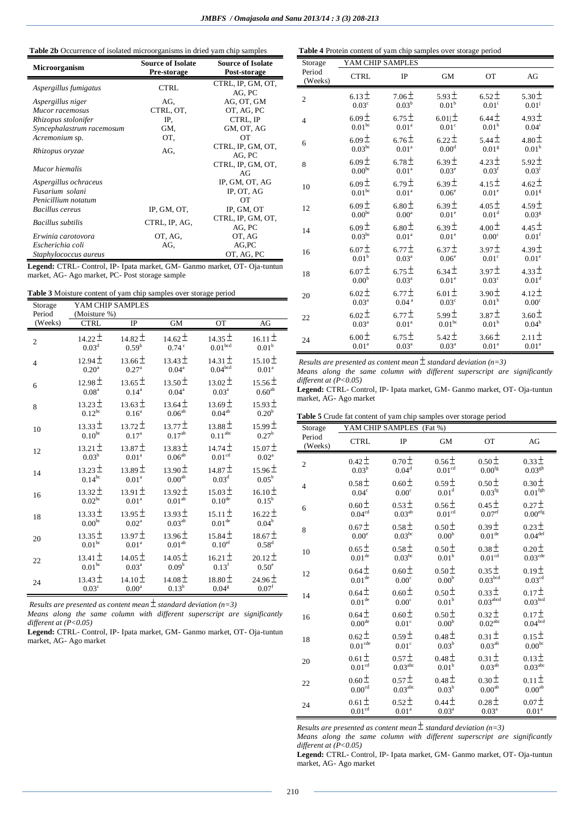# **Table 2b** Occurrence of isolated microorganisms in dried yam chip samples

| <b>Microorganism</b>      | <b>Source of Isolate</b><br>Pre-storage | <b>Source of Isolate</b><br>Post-storage |
|---------------------------|-----------------------------------------|------------------------------------------|
| Aspergillus fumigatus     | <b>CTRL</b>                             | CTRL, IP, GM, OT,<br>AG, PC              |
| Aspergillus niger         | AG.                                     | AG, OT, GM                               |
| Mucor racemosus           | CTRL, OT,                               | OT, AG, PC                               |
| Rhizopus stolonifer       | IP.                                     | CTRL, IP                                 |
| Syncephalastrum racemosum | GM.                                     | GM, OT, AG                               |
| Acremonium sp.            | OT.                                     | <b>OT</b>                                |
| Rhizopus oryzae           | AG.                                     | CTRL, IP, GM, OT,<br>AG, PC              |
| Mucor hiemalis            |                                         | CTRL, IP, GM, OT,<br>AGr                 |
| Aspergillus ochraceus     |                                         | IP, GM, OT, AG                           |
| Fusarium solani           |                                         | IP, OT, AG                               |
| Penicillium notatum       |                                         | OТ                                       |
| <b>Bacillus cereus</b>    | IP, GM, OT,                             | IP, GM, OT                               |
| Bacillus subtilis         | CTRL, IP, AG,                           | CTRL, IP, GM, OT,<br>AG, PC              |
| Erwinia carotovora        | OT, AG,                                 | OT, AG                                   |
| Escherichia coli          | AG.                                     | AG, PC                                   |
| Staphylococcus aureus     |                                         | OT, AG, PC                               |

**Legend:** CTRL- Control, IP- Ipata market, GM- Ganmo market, OT- Oja-tuntun market, AG- Ago market, PC- Post storage sample

|  |  |  | Table 3 Moisture content of yam chip samples over storage period |  |
|--|--|--|------------------------------------------------------------------|--|
|  |  |  |                                                                  |  |

| Storage<br>Period | (Moisture %)      | YAM CHIP SAMPLES                 |                     |                     |                   |
|-------------------|-------------------|----------------------------------|---------------------|---------------------|-------------------|
| (Weeks)           | <b>CTRL</b>       | IP                               | <b>GM</b>           | <b>OT</b>           | AG                |
| $\overline{c}$    | $14.22 \pm$       | $14.82 \pm$                      | $14.62 \pm$         | 14.35 ±             | $16.11 \pm$       |
|                   | $0.03^{\rm d}$    | $0.59^{\rm b}$                   | $0.74$ <sup>c</sup> | $0.01^{\rm bcd}$    | 0.01 <sup>b</sup> |
| $\overline{4}$    | $12.94 \pm$       | $13.66 \pm$                      | $13.43 \pm$         | 14.31 $\pm$         | $15.10 \pm$       |
|                   | 0.20 <sup>a</sup> | $0.27\ensuremath{^{\mathrm{a}}}$ | $0.04^a$            | 0.04 <sup>bcd</sup> | 0.01 <sup>a</sup> |
| 6                 | $12.98 \pm$       | $13.65 \pm$                      | $13.50 \pm$         | $13.02 \pm$         | $15.56 \pm$       |
|                   | 0.08 <sup>a</sup> | $0.14^{\rm a}$                   | $0.04^{\rm a}$      | 0.03 <sup>a</sup>   | $0.60^{ab}$       |
| 8                 | $13.23 \pm$       | $13.63 \pm$                      | $13.64 \pm$         | $13.69 \pm$         | $15.93 \pm$       |
|                   | $0.12^{bc}$       | $0.16^{a}$                       | $0.06^{\rm ab}$     | $0.04^{\rm ab}$     | 0.20 <sup>b</sup> |
| 10                | $13.33 \pm$       | $13.72 \pm$                      | $13.77 \pm$         | $13.88 \pm$         | $15.99 \pm$       |
|                   | $0.10^{bc}$       | $0.17^{\rm a}$                   | $0.17^{\rm ab}$     | $0.11^{\rm abc}$    | $0.27^{\rm b}$    |
| 12                | $13.21 \pm$       | $13.87 \pm$                      | $13.83 \pm$         | $14.74 \pm$         | $15.07\pm$        |
|                   | $0.03^{\rm b}$    | 0.01 <sup>a</sup>                | $0.06^{\rm ab}$     | $0.01^{\rm cd}$     | 0.02 <sup>a</sup> |
| 14                | $13.23 \pm$       | $13.89 \pm$                      | $13.90 \pm$         | $14.87 \pm$         | $15.96 \pm$       |
|                   | $0.14^{bc}$       | $0.01^{\rm a}$                   | $0.00^{\rm ab}$     | $0.03^{\rm d}$      | $0.05^{\rm b}$    |
| 16                | $13.32 \pm$       | $13.91 \pm$                      | $13.92 \pm$         | 15.03 $\pm$         | $16.10 \pm$       |
|                   | $0.02^{\rm bc}$   | 0.01 <sup>a</sup>                | $0.01^{\rm ab}$     | $0.10^{\rm de}$     | $0.15^b$          |
| 18                | $13.33 \pm$       | $13.95 \pm$                      | $13.93 \pm$         | $15.11 \pm$         | $16.22 \pm$       |
|                   | $0.00^{\rm bc}$   | $0.02^{\rm a}$                   | $0.03^{\rm ab}$     | $0.01^{\rm de}$     | $0.04^{\rm b}$    |
| 20                | $13.35 \pm$       | $13.97 \pm$                      | $13.96\pm$          | $15.84 \pm$         | $18.67 \pm$       |
|                   | $0.01^{\rm bc}$   | $0.01^{\rm a}$                   | 0.01 <sup>ab</sup>  | $0.10^{\rm e f}$    | $0.58^d$          |
| 22                | $13.41 \pm$       | $14.05 \pm$                      | $14.05 \pm$         | $16.21 \pm$         | $20.12 \pm$       |
|                   | $0.01^{\rm bc}$   | $0.03^{\rm a}$                   | 0.09 <sup>b</sup>   | $0.13^{\rm f}$      | $0.50^\circ$      |
| 24                | $13.43 \pm$       | $14.10 \pm$                      | $14.08 \pm$         | $18.80 \pm$         | $24.96 \pm$       |
|                   | $0.03^{\circ}$    | 0.00 <sup>a</sup>                | $0.13^{\rm b}$      | 0.04 <sup>g</sup>   | $0.07^{\rm f}$    |

Results are presented as content mean  $\pm$  standard deviation (n=3)

*Means along the same column with different superscript are significantly different at (P<0.05)*

**Legend:** CTRL- Control, IP- Ipata market, GM- Ganmo market, OT- Oja-tuntun market, AG- Ago market

| Table 4 Protein content of yam chip samples over storage period |                   |                   |                   |                     |                   |  |  |
|-----------------------------------------------------------------|-------------------|-------------------|-------------------|---------------------|-------------------|--|--|
| Storage                                                         | YAM CHIP SAMPLES  |                   |                   |                     |                   |  |  |
| Period<br>(Weeks)                                               | <b>CTRL</b>       | IP                | <b>GM</b>         | OT                  | AG                |  |  |
| $\overline{c}$                                                  | $6.13 \pm$        | $7.06\pm$         | $5.93 \pm$        | $6.52 \pm$          | $5.30 \pm$        |  |  |
|                                                                 | $0.03^{\circ}$    | 0.03 <sup>b</sup> | 0.01 <sup>b</sup> | $0.01$ <sup>i</sup> | $0.01^{j}$        |  |  |
| $\overline{4}$                                                  | $6.09 \pm$        | $6.75 \pm$        | $6.01 \pm$        | $6.44 \pm$          | $4.93 \pm$        |  |  |
|                                                                 | $0.01^{\rm bc}$   | 0.01 <sup>a</sup> | $0.01^{\circ}$    | $0.01^{\rm h}$      | $0.04^{i}$        |  |  |
| 6                                                               | $6.09 \pm$        | 6.76 <sup>±</sup> | $6.22 \pm$        | 5.44 $\pm$          | $4.80 \pm$        |  |  |
|                                                                 | $0.03^{bc}$       | $0.01^{\rm a}$    | $0.00^{\rm d}$    | 0.01 <sup>g</sup>   | $0.01^{\rm h}$    |  |  |
| 8                                                               | $6.09 \pm$        | $6.78 \pm$        | $6.39\pm$         | $4.23 \pm$          | $5.92 \pm$        |  |  |
|                                                                 | $0.00^{bc}$       | 0.01 <sup>a</sup> | $0.03^e$          | 0.03 <sup>f</sup>   | 0.03 <sup>1</sup> |  |  |
| 10                                                              | $6.09 \pm$        | $6.79 \pm$        | 6.39 <sup>±</sup> | $4.15 \pm$          | $4.62 \pm$        |  |  |
|                                                                 | $0.01^{\rm bc}$   | 0.01 <sup>a</sup> | $0.06^{\rm e}$    | $0.01^e$            | 0.01 <sup>g</sup> |  |  |
| 12                                                              | $6.09 \pm$        | $6.80 \pm$        | $6.39 \pm$        | $4.05 \pm$          | $4.59 \pm$        |  |  |
|                                                                 | $0.00^{\rm bc}$   | $0.00^{\rm a}$    | $0.01^{\rm e}$    | $0.01^{\rm d}$      | $0.03^{\rm g}$    |  |  |
| 14                                                              | $6.09 \pm$        | $6.80 \pm$        | $6.39 \pm$        | $4.00 \pm$          | $4.45 \pm$        |  |  |
|                                                                 | $0.03^{\rm bc}$   | 0.01 <sup>a</sup> | $0.01^e$          | 0.00 <sup>c</sup>   | 0.01 <sup>f</sup> |  |  |
| 16                                                              | $6.07 \pm$        | $6.77 \pm$        | 6.37 <sup>±</sup> | $3.97 \pm$          | $4.39 \pm$        |  |  |
|                                                                 | 0.01 <sup>b</sup> | 0.03 <sup>a</sup> | $0.06^{\rm e}$    | $0.01^{\circ}$      | 0.01 <sup>e</sup> |  |  |
| 18                                                              | $6.07 \pm$        | $6.75 \pm$        | $6.34 \pm$        | $3.97 \pm$          | $4.33 \pm$        |  |  |
|                                                                 | $0.00^{\rm b}$    | 0.03 <sup>a</sup> | $0.01^{\rm e}$    | $0.03^{\circ}$      | $0.01^{\rm d}$    |  |  |
| 20                                                              | $6.02 \pm$        | $6.77 \pm$        | $6.01 \pm$        | $3.90 \pm$          | $4.12 \pm$        |  |  |
|                                                                 | 0.03 <sup>a</sup> | $0.04\,^{\rm a}$  | $0.03^{\circ}$    | 0.01 <sup>b</sup>   | 0.00 <sup>c</sup> |  |  |
| 22                                                              | $6.02 \pm$        | $6.77 \pm$        | $5.99 \pm$        | $3.87 \pm$          | $3.60 \pm$        |  |  |
|                                                                 | 0.03 <sup>a</sup> | 0.01 <sup>a</sup> | $0.01^{bc}$       | $0.01^{\rm b}$      | $0.04^{\rm b}$    |  |  |
| 24                                                              | $6.00 \pm$        | $6.75 \pm$        | $5.42 \pm$        | $3.66 \pm$          | $2.11 \pm$        |  |  |
|                                                                 | $0.01^{\rm a}$    | 0.03 <sup>a</sup> | 0.03 <sup>a</sup> | 0.01 <sup>a</sup>   | $0.01^{\rm a}$    |  |  |

*Results are presented as content mean*  $\pm$  *standard deviation* (n=3)

*Means along the same column with different superscript are significantly different at (P<0.05)*

**Legend:** CTRL- Control, IP- Ipata market, GM- Ganmo market, OT- Oja-tuntun market, AG- Ago market

| <b>Table 5</b> Crude fat content of yam chip samples over storage period |  |  |  |  |  |  |  |
|--------------------------------------------------------------------------|--|--|--|--|--|--|--|
|--------------------------------------------------------------------------|--|--|--|--|--|--|--|

| Storage           |                    | YAM CHIP SAMPLES (Fat %) |                   |                      |                      |
|-------------------|--------------------|--------------------------|-------------------|----------------------|----------------------|
| Period<br>(Weeks) | <b>CTRL</b>        | IP                       | GM                | OT                   | AG                   |
| $\mathfrak{2}$    | $0.42 \pm$         | 0.70 <sup>±</sup>        | 0.56 <sup>±</sup> | 0.50 <sup>±</sup>    | $0.33 \pm$           |
|                   | 0.03 <sup>b</sup>  | $0.04^{\rm d}$           | $0.01^{\rm cd}$   | $0.00^{\rm fg}$      | $0.03^{\mathrm{gh}}$ |
| $\overline{4}$    | $0.58 \pm$         | $0.60 \pm$               | 0.59 <sup>±</sup> | $0.50\pm$            | 0.30 <sup>±</sup>    |
|                   | $0.04^{\circ}$     | $0.00^{\rm c}$           | $0.01^{\rm d}$    | 0.03 <sup>fg</sup>   | $0.01^{\rm fgh}$     |
| 6                 | $0.60 \pm$         | 0.53 <sup>±</sup>        | $0.56\pm$         | $0.45 \pm$           | 0.27 <sup>±</sup>    |
|                   | $0.04^{\rm cd}$    | $0.03^{ab}$              | $0.01^{\rm cd}$   | $0.07^{\rm ef}$      | $0.00^{\rm efg}$     |
| 8                 | $0.67 \pm$         | $0.58\pm$                | $0.50 \pm$        | $0.39\pm$            | $0.23 \pm$           |
|                   | 0.00 <sup>e</sup>  | $0.03^{\rm bc}$          | $0.00^{\rm b}$    | $0.01^{\rm de}$      | $0.04^{\rm def}$     |
| 10                | $0.65 \pm$         | $0.58\pm$                | $0.50 \pm$        | $0.38\pm$            | $0.20 \pm$           |
|                   | 0.01 <sup>de</sup> | 0.03 <sup>bc</sup>       | $0.01^{\rm b}$    | 0.01 <sup>cd</sup>   | $0.03^{\rm cde}$     |
| 12                | $0.64 \pm$         | $0.60 \pm$               | $0.50 \pm$        | $0.35\pm$            | 0.19 <sup>±</sup>    |
|                   | $0.01^{\rm de}$    | 0.00 <sup>c</sup>        | $0.00^{\rm b}$    | $0.03^{\rm bcd}$     | $0.03^{\rm cd}$      |
| 14                | $0.64 \pm$         | $0.60 \pm$               | $0.50 \pm$        | $0.33\pm$            | $0.17 +$             |
|                   | 0.01 <sup>de</sup> | $0.00^{\rm c}$           | $0.01^{\rm b}$    | 0.03 <sup>abcd</sup> | $0.03^{\rm bcd}$     |
| 16                | $0.64 \pm$         | $0.60 \pm$               | $0.50 \pm$        | $0.32\pm$            | $0.17 +$             |
|                   | $0.00^{\rm de}$    | 0.01 <sup>c</sup>        | $0.00^{\rm b}$    | 0.02 <sup>abc</sup>  | $0.04^{\rm bcd}$     |
| 18                | $0.62 \pm$         | $0.59\pm$                | $0.48 \pm$        | $0.31 \pm$           | $0.15 \pm$           |
|                   | $0.01^{\rm cde}$   | $0.01^{\circ}$           | $0.03^{\rm b}$    | $0.03^{\rm ab}$      | $0.00^{\rm bc}$      |
| 20                | $0.61 \pm$         | $0.57 +$                 | $0.48 \pm$        | $0.31 \pm$           | $0.13 \pm$           |
|                   | $0.01^{\rm cd}$    | $0.03^{\rm abc}$         | $0.01^{\rm b}$    | 0.03 <sup>ab</sup>   | $0.03^{\rm abc}$     |
| 22                | $0.60 \pm$         | 0.57 <sup>±</sup>        | $0.48 \pm$        | $0.30\pm$            | $0.11 \pm$           |
|                   | 0.00 <sup>cd</sup> | $0.03^{\rm abc}$         | $0.03^{\rm b}$    | $0.00^{\rm ab}$      | $0.00^{\rm ab}$      |
| 24                | $0.61 \pm$         | $0.52 \pm$               | $0.44 \pm$        | $0.28 \pm$           | 0.07 <sup>±</sup>    |
|                   | $0.01^{\rm cd}$    | $0.01^{\rm a}$           | $0.03^{\rm a}$    | 0.03 <sup>a</sup>    | 0.01 <sup>a</sup>    |

*Results are presented as content mean*  $\pm$  *standard deviation* (n=3)

*Means along the same column with different superscript are significantly different at (P<0.05)*

**Legend:** CTRL- Control, IP- Ipata market, GM- Ganmo market, OT- Oja-tuntun market, AG- Ago market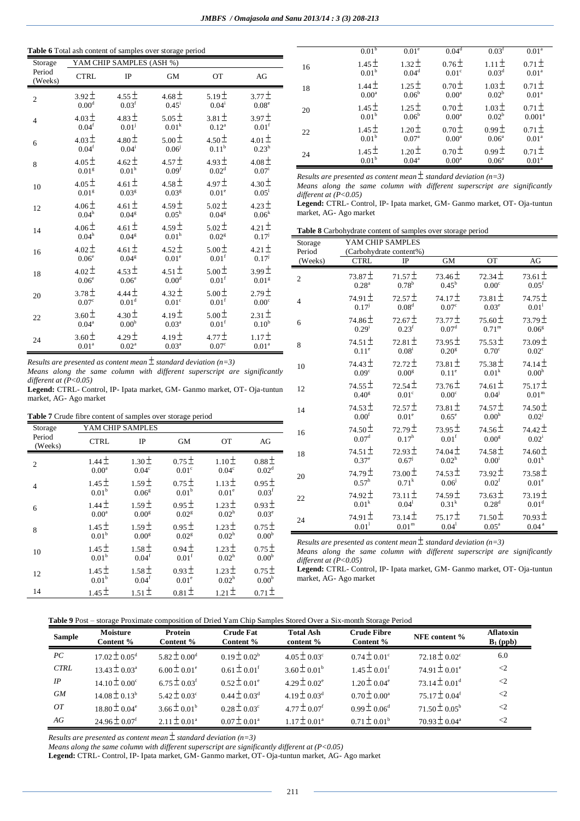## **Table 6** Total ash content of samples over storage period

| Storage           |                   | YAM CHIP SAMPLES (ASH %) |                   |                   |                   |
|-------------------|-------------------|--------------------------|-------------------|-------------------|-------------------|
| Period<br>(Weeks) | <b>CTRL</b>       | IP                       | <b>GM</b>         | <b>OT</b>         | AG                |
| $\overline{2}$    | $3.92 \pm$        | $4.55 \pm$               | $4.68 \pm$        | 5.19 <sup>±</sup> | $3.77 \pm$        |
|                   | 0.00 <sup>d</sup> | 0.03 <sup>f</sup>        | $0.45^{\rm i}$    | $0.04^{\rm i}$    | $0.08^e$          |
| $\overline{4}$    | $4.03 \pm$        | $4.83 \pm$               | $5.05 \pm$        | $3.81 \pm$        | $3.97 \pm$        |
|                   | $0.04^{\rm f}$    | $0.01^{j}$               | 0.01 <sup>k</sup> | $0.12^{\rm a}$    | 0.01 <sup>f</sup> |
| 6                 | $4.03 \pm$        | $4.80 \pm$               | $5.00 \pm$        | $4.50 \pm$        | $4.01 \pm$        |
|                   | $0.04^{\rm f}$    | $0.04^i$                 | $0.06^{j}$        | $0.11^{\rm b}$    | $0.23^{\rm h}$    |
| 8                 | $4.05 \pm$        | $4.62 \pm$               | $4.57 +$          | $4.93 \pm$        | $4.08 \pm$        |
|                   | 0.01 <sup>g</sup> | 0.01 <sup>h</sup>        | 0.09 <sup>f</sup> | $0.02^d$          | $0.07^{\rm i}$    |
| 10                | 4.05 $\pm$        | $4.61 \pm$               | 4.58 $\pm$        | $4.97 \pm$        | $4.30 \pm$        |
|                   | 0.01 <sup>g</sup> | 0.03 <sup>g</sup>        | 0.03 <sup>g</sup> | 0.01 <sup>e</sup> | 0.05 <sup>1</sup> |
| 12                | $4.06 \pm$        | $4.61 \pm$               | $4.59 \pm$        | $5.02 \pm$        | 4.23 $\pm$        |
|                   | $0.04^{\rm h}$    | $0.04^{\rm g}$           | $0.05^h$          | 0.04 <sup>g</sup> | 0.06 <sup>k</sup> |
| 14                | $4.06 \pm$        | $4.61 \pm$               | $4.59 \pm$        | $5.02 \pm$        | $4.21 \pm$        |
|                   | 0.04 <sup>h</sup> | 0.04 <sup>g</sup>        | 0.01 <sup>h</sup> | 0.02 <sup>g</sup> | $0.17^{j}$        |
| 16                | $4.02 \pm$        | $4.61 \pm$               | $4.52 \pm$        | $5.00 \pm$        | $4.21 \pm$        |
|                   | 0.06 <sup>e</sup> | 0.04 <sup>g</sup>        | $0.01^e$          | $0.01^\mathrm{f}$ | $0.17^{j}$        |
| 18                | $4.02 \pm$        | $4.53 \pm$               | $4.51 \pm$        | $5.00 \pm$        | $3.99 \pm$        |
|                   | $0.06^e$          | $0.06^e$                 | 0.00 <sup>d</sup> | $0.01^{\rm f}$    | 0.01 <sup>g</sup> |
| 20                | $3.78 \pm$        | $4.44 \pm$               | $4.32 \pm$        | $5.00 \pm$        | $2.79\pm$         |
|                   | 0.07 <sup>c</sup> | $0.01^{\rm d}$           | 0.01 <sup>c</sup> | $0.01^{\rm f}$    | $0.00^{\circ}$    |
| 22                | $3.60 \pm$        | $4.30 \pm$               | $4.19 +$          | $5.00 \pm$        | $2.31 \pm$        |
|                   | 0.04 <sup>a</sup> | $0.00^{\rm b}$           | 0.03 <sup>a</sup> | $0.01^{\rm f}$    | 0.10 <sup>b</sup> |
| 24                | $3.60 \pm$        | $4.29 \pm$               | $4.19 \pm$        | $4.77 \pm$        | $1.17 \pm$        |
|                   | $0.01^\mathrm{a}$ | 0.02 <sup>a</sup>        | $0.03^{\rm a}$    | $0.07^{\rm c}$    | $0.01^{\rm a}$    |

|    | 0.01 <sup>b</sup>               | 0.01 <sup>e</sup>               | 0.04 <sup>d</sup>                      | $0.03^{\text{t}}$                   | 0.01 <sup>a</sup>                |
|----|---------------------------------|---------------------------------|----------------------------------------|-------------------------------------|----------------------------------|
| 16 | $1.45 \pm$<br>0.01 <sup>b</sup> | $1.32 \pm$<br>0.04 <sup>d</sup> | 0.76 <sup>±</sup><br>0.01 <sup>c</sup> | $1.11 \pm$<br>0.03 <sup>d</sup>     | $0.71 \pm$<br>0.01 <sup>a</sup>  |
| 18 | $1.44 \pm$<br>0.00 <sup>a</sup> | $1.25 \pm$<br>0.06 <sup>b</sup> | $0.70+$<br>0.00 <sup>a</sup>           | $1.03 \pm$<br>$0.02^{\rm b}$        | $0.71 \pm$<br>0.01 <sup>a</sup>  |
| 20 | $1.45 \pm$<br>0.01 <sup>b</sup> | $1.25 \pm$<br>0.06 <sup>b</sup> | 0.70 <sup>±</sup><br>0.00 <sup>a</sup> | $1.03 \pm$<br>0.02 <sup>b</sup>     | $0.71 \pm$<br>0.001 <sup>a</sup> |
| 22 | $1.45 \pm$<br>0.01 <sup>b</sup> | $1.20 \pm$<br>0.07 <sup>a</sup> | 0.70 <sup>±</sup><br>0.00 <sup>a</sup> | 0.99 <sup>±</sup><br>$0.06^a$       | $0.71 \pm$<br>0.01 <sup>a</sup>  |
| 24 | $1.45 \pm$<br>0.01 <sup>b</sup> | $1.20 \pm$<br>$0.04^{\rm a}$    | 0.70 <sup>±</sup><br>0.00 <sup>a</sup> | 0.99 <sup>±</sup><br>$0.06^{\rm a}$ | $0.71 \pm$<br>0.01 <sup>a</sup>  |

*Results are presented as content mean*  $\pm$  *standard deviation* (n=3)

*Means along the same column with different superscript are significantly different at (P<0.05)*

**Legend:** CTRL- Control, IP- Ipata market, GM- Ganmo market, OT- Oja-tuntun market, AG- Ago market

**Table 8** Carbohydrate content of samples over storage period

| Storage        | YAM CHIP SAMPLES  |                         |                     |                   |                   |
|----------------|-------------------|-------------------------|---------------------|-------------------|-------------------|
| Period         |                   | (Carbohydrate content%) |                     |                   |                   |
| (Weeks)        | <b>CTRL</b>       | IP                      | <b>GM</b>           | OT                | AG                |
| $\overline{c}$ | $73.87 \pm$       | $71.57 \pm$             | $73.46 \pm$         | $72.34 \pm$       | $73.61 \pm$       |
|                | 0.28 <sup>a</sup> | $0.78^{\rm b}$          | $0.45^{\rm b}$      | $0.00^{\circ}$    | 0.05 <sup>f</sup> |
| $\overline{4}$ | $74.91 \pm$       | $72.57 \pm$             | $74.17 \pm$         | $73.81 \pm$       | $74.75 \pm$       |
|                | $0.17^{j}$        | $0.08^{\rm d}$          | $0.07^{\rm c}$      | $0.03^e$          | $0.01^{1}$        |
| 6              | $74.86 \pm$       | $72.67 \pm$             | 73.77 $\pm$         | 75.60 $\pm$       | $73.79 \pm$       |
|                | $0.29^{i}$        | $0.23^{\rm f}$          | 0.07 <sup>d</sup>   | $0.71^{\rm m}$    | 0.06 <sup>g</sup> |
| 8              | 74.51 $\pm$       | $72.81 \pm$             | $73.95 \pm$         | $75.53 \pm$       | $73.09 \pm$       |
|                | $0.11^e$          | $0.08^{i}$              | $0.20$ <sup>g</sup> | 0.70 <sup>c</sup> | $0.02^{\circ}$    |
| 10             | 74.43 $\pm$       | $72.72 \pm$             | $73.81 \pm$         | $75.38 \pm$       | $74.14 \pm$       |
|                | 0.09 <sup>c</sup> | 0.00 <sup>g</sup>       | $0.11^{\rm e}$      | $0.01^{\rm k}$    | 0.00 <sup>h</sup> |
| 12             | $74.55 \pm$       | $72.54 \pm$             | $73.76\pm$          | 74.61 $\pm$       | $75.17 \pm$       |
|                | 0.40 <sup>g</sup> | 0.01 <sup>c</sup>       | 0.00 <sup>c</sup>   | $0.04^{j}$        | 0.01 <sup>m</sup> |
| 14             | $74.53 \pm$       | $72.57 \pm$             | $73.81 \pm$         | 74.57 $\pm$       | $74.50 \pm$       |
|                | 0.00 <sup>f</sup> | 0.01 <sup>e</sup>       | $0.65^{\circ}$      | $0.00^{\rm h}$    | $0.02^{j}$        |
| 16             | $74.50 \pm$       | $72.79 \pm$             | $73.95 \pm$         | $74.56 \pm$       | $74.42 \pm$       |
|                | $0.07^{\rm d}$    | $0.17^{\rm h}$          | $0.01^{\rm f}$      | 0.00 <sup>g</sup> | $0.02^{\rm i}$    |
| 18             | 74.51 $\pm$       | $72.93 \pm$             | 74.04 $\pm$         | $74.58 \pm$       | 74.60 $\pm$       |
|                | $0.37^e$          | $0.67^{j}$              | $0.02^{\rm h}$      | $0.00^{i}$        | 0.01 <sup>k</sup> |
| 20             | $74.79 \pm$       | $73.00 \pm$             | $74.53 \pm$         | $73.92 \pm$       | $73.58 \pm$       |
|                | $0.57^{\rm h}$    | $0.71^{k}$              | $0.06^{j}$          | 0.02 <sup>f</sup> | 0.01 <sup>e</sup> |
| 22             | $74.92 \pm$       | $73.11 \pm$             | 74.59±              | $73.63 \pm$       | $73.19 \pm$       |
|                | 0.01 <sup>k</sup> | $0.04^{1}$              | 0.31 <sup>k</sup>   | $0.28^{\rm d}$    | 0.01 <sup>d</sup> |
| 24             | 74.91 $\pm$       | $73.14 \pm$             | $75.17 \pm$         | $71.50 \pm$       | $70.93 \pm$       |
|                | 0.01 <sup>1</sup> | 0.01 <sup>m</sup>       | $0.04^{1}$          | $0.05^{\text{a}}$ | 0.04 <sup>a</sup> |
|                |                   |                         |                     |                   |                   |

*Results are presented as content mean*  $\pm$  *standard deviation* (n=3)

*Means along the same column with different superscript are significantly different at (P<0.05)*

**Legend:** CTRL- Control, IP- Ipata market, GM- Ganmo market, OT- Oja-tuntun market, AG- Ago market

*Results are presented as content mean standard deviation (n=3) Means along the same column with different superscript are significantly different at (P<0.05)*

**Legend:** CTRL- Control, IP- Ipata market, GM- Ganmo market, OT- Oja-tuntun market, AG- Ago market

| Table 7 Crude fibre content of samples over storage period |  |
|------------------------------------------------------------|--|
|------------------------------------------------------------|--|

| Storage           | YAM CHIP SAMPLES  |                   |                   |                   |                   |
|-------------------|-------------------|-------------------|-------------------|-------------------|-------------------|
| Period<br>(Weeks) | <b>CTRL</b>       | IP                | <b>GM</b>         | <b>OT</b>         | AG                |
| $\overline{2}$    | $1.44 \pm$        | $1.30 \pm$        | 0.75 <sup>±</sup> | $1.10 \pm$        | $0.88 \pm$        |
|                   | 0.00 <sup>a</sup> | 0.04 <sup>c</sup> | 0.01 <sup>c</sup> | 0.04 <sup>c</sup> | 0.02 <sup>d</sup> |
| $\overline{4}$    | $1.45 \pm$        | $1.59 \pm$        | $0.75 \pm$        | $1.13 \pm$        | $0.95 \pm$        |
|                   | 0.01 <sup>b</sup> | 0.06 <sup>g</sup> | 0.01 <sup>b</sup> | 0.01 <sup>e</sup> | 0.03 <sup>f</sup> |
| 6                 | $1.44 \pm$        | $1.59 \pm$        | $0.95 \pm$        | $1.23 \pm$        | $0.93 \pm$        |
|                   | 0.00 <sup>a</sup> | 0.00 <sup>g</sup> | 0.02 <sup>g</sup> | 0.02 <sup>h</sup> | 0.03 <sup>e</sup> |
| 8                 | $1.45 \pm$        | $1.59 \pm$        | $0.95 \pm$        | $1.23 \pm$        | 0.75 <sup>±</sup> |
|                   | 0.01 <sup>b</sup> | 0.00 <sup>g</sup> | 0.02 <sup>g</sup> | 0.02 <sup>h</sup> | $0.00^{\rm b}$    |
| 10                | $1.45 \pm$        | $1.58 \pm$        | $0.94 \pm$        | $1.23 \pm$        | 0.75 <sup>±</sup> |
|                   | 0.01 <sup>b</sup> | 0.04 <sup>f</sup> | 0.01 <sup>f</sup> | 0.02 <sup>h</sup> | 0.00 <sup>b</sup> |
| 12                | $1.45 \pm$        | $1.58 \pm$        | $0.93 \pm$        | $1.23 \pm$        | 0.75 <sup>±</sup> |
|                   | $0.01^{\rm b}$    | $0.04^{\rm f}$    | 0.01 <sup>e</sup> | 0.02 <sup>h</sup> | 0.00 <sup>b</sup> |
| 14                | $1.45 \pm$        | $1.51 \pm$        | $0.81 \pm$        | $1.21 \pm$        | $0.71 \pm$        |

| <b>Sample</b> | Moisture<br>Content %         | Protein<br>Content %         | <b>Crude Fat</b><br>Content % | <b>Total Ash</b><br>content % | <b>Crude Fibre</b><br>Content % | NFE content %                 | <b>Aflatoxin</b><br>$B_1$ (ppb) |
|---------------|-------------------------------|------------------------------|-------------------------------|-------------------------------|---------------------------------|-------------------------------|---------------------------------|
| PC            | $17.02 \pm 0.05^{\text{d}}$   | $5.82 \pm 0.00^{\rm d}$      | $0.19 \pm 0.02^b$             | $4.05 \pm 0.03^{\circ}$       | $0.74 \pm 0.01^{\circ}$         | $72.18 \pm 0.02$ <sup>c</sup> | 6.0                             |
| <b>CTRL</b>   | $13.43 \pm 0.03^{\circ}$      | $6.00 \pm 0.01^e$            | $0.61 \pm 0.01$ <sup>f</sup>  | $3.60 \pm 0.01^b$             | $1.45 \pm 0.01$ <sup>f</sup>    | $74.91 \pm 0.01^{\circ}$      | $\langle 2$                     |
| IP            | $14.10 \pm 0.00^{\circ}$      | $6.75 \pm 0.03$ <sup>f</sup> | $0.52 \pm 0.01^{\circ}$       | $4.29 \pm 0.02$ <sup>e</sup>  | $1.20 \pm 0.04^{\circ}$         | $73.14 \pm 0.01$ <sup>d</sup> | $\leq$ 2                        |
| GМ            | $14.08 \pm 0.13^b$            | $5.42 \pm 0.03$ °            | $0.44 \pm 0.03^{\rm d}$       | $4.19 \pm 0.03^{\text{d}}$    | $0.70 \pm 0.00^a$               | $75.17 \pm 0.04$ <sup>f</sup> | $\leq$ 2                        |
| 0T            | $18.80 \pm 0.04^{\circ}$      | $3.66 \pm 0.01^b$            | $0.28 \pm 0.03^{\circ}$       | $4.77 \pm 0.07$ <sup>f</sup>  | $0.99 \pm 0.06^{\rm d}$         | $71.50 \pm 0.05^{\rm b}$      | $\leq$ 2                        |
| AG            | $24.96 \pm 0.07$ <sup>f</sup> | $2.11 \pm 0.01^a$            | $0.07 \pm 0.01^{\circ}$       | $1.17 \pm 0.01^a$             | $0.71 \pm 0.01^{\rm b}$         | $70.93 \pm 0.04^{\text{a}}$   | $\leq$ 2                        |

*Results are presented as content mean standard deviation (n=3)*

*Means along the same column with different superscript are significantly different at (P<0.05)*

**Legend:** CTRL- Control, IP- Ipata market, GM- Ganmo market, OT- Oja-tuntun market, AG- Ago market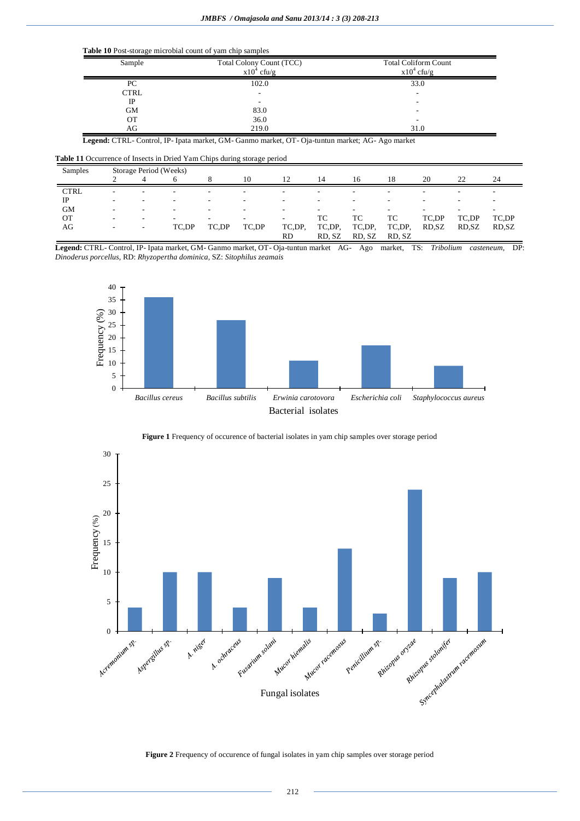### **Table 10** Post-storage microbial count of yam chip samples

| Sample      | Total Colony Count (TCC)<br>$x10^4$ cfu/g | <b>Total Coliform Count</b><br>$x10^4$ cfu/g |
|-------------|-------------------------------------------|----------------------------------------------|
| PC          | 102.0                                     | 33.0                                         |
| <b>CTRL</b> |                                           |                                              |
| IP          | ۰                                         |                                              |
| <b>GM</b>   | 83.0                                      |                                              |
| ОT          | 36.0                                      |                                              |
| AG          | 219.0                                     | 31.0                                         |

**Legend:** CTRL- Control, IP- Ipata market, GM- Ganmo market, OT- Oja-tuntun market; AG- Ago market

**Table 11** Occurrence of Insects in Dried Yam Chips during storage period

| Samples     | Storage Period (Weeks)   |   |       |                          |       |                          |        |                          |                          |                          |                          |                          |
|-------------|--------------------------|---|-------|--------------------------|-------|--------------------------|--------|--------------------------|--------------------------|--------------------------|--------------------------|--------------------------|
|             |                          |   | h     |                          | 10    | 12                       | 14     | 16                       | 18                       | 20                       | 22                       | 24                       |
| <b>CTRL</b> | -                        |   |       | $\overline{\phantom{a}}$ |       | -                        |        | -                        |                          | -                        |                          |                          |
| IP          | $\overline{\phantom{a}}$ | - | -     | $\overline{\phantom{a}}$ |       | $\overline{\phantom{a}}$ | -      | $\overline{\phantom{a}}$ | $\overline{\phantom{a}}$ | $\overline{\phantom{a}}$ | -                        | $\overline{\phantom{a}}$ |
| <b>GM</b>   | $\overline{\phantom{a}}$ |   |       | $\overline{\phantom{a}}$ |       | $\overline{\phantom{a}}$ | ۰.     | -                        | -                        | $\overline{\phantom{0}}$ | $\overline{\phantom{0}}$ | $\overline{\phantom{a}}$ |
| ОT          | -                        |   |       | $\overline{\phantom{0}}$ |       | $\overline{\phantom{a}}$ | ТC     | ТC                       | TC                       | TC,DP                    | TC.DP                    | TC,DP                    |
| AG          | $\overline{\phantom{a}}$ | - | TC.DP | TC,DP                    | TC,DP | TC,DP.                   | TC,DP, | TC,DP.                   | TC,DP,                   | RD, SZ                   | RD.SZ                    | RD, SZ                   |
|             |                          |   |       |                          |       | <b>RD</b>                | RD, SZ | RD, SZ                   | RD, SZ                   |                          |                          |                          |

**Legend:** CTRL- Control, IP- Ipata market, GM- Ganmo market, OT- Oja-tuntun market AG- Ago market, TS: *Tribolium casteneum,* DP: *Dinoderus porcellus,* RD: *Rhyzopertha dominica,* SZ: *Sitophilus zeamais*







**Figure 2** Frequency of occurence of fungal isolates in yam chip samples over storage period